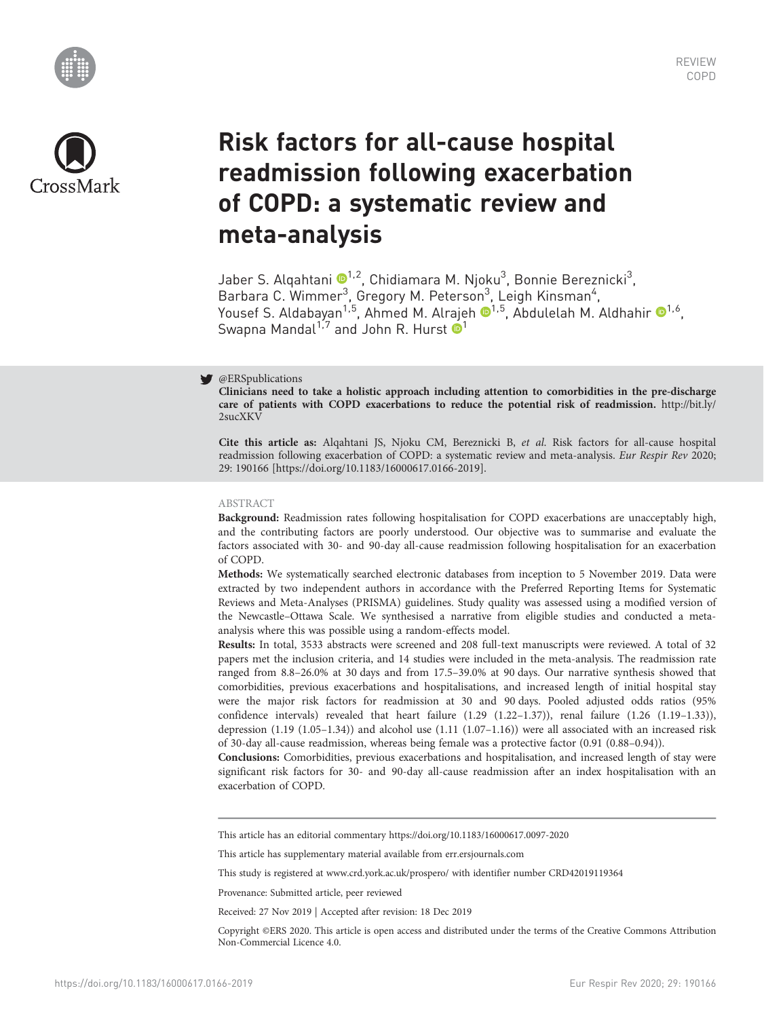



# Risk factors for all-cause hospital readmission following exacerbation of COPD: a systematic review and meta-analysis

Jaber S. Alqahtani ®<sup>[1](https://orcid.org/0000-0003-1795-5092),2</sup>, Chidiamara M. Njoku<sup>3</sup>, Bonnie Bereznicki<sup>3</sup>, Barbara C. Wimmer<sup>3</sup>, Gregory M. Peterson<sup>3</sup>, Leigh Kinsman<sup>4</sup>, Yousef S. Aldabayan<sup>[1](https://orcid.org/0000-0002-4270-9494),5</sup>, Ahmed M. Alrajeh <sup>1,5</sup>, Abdulelah M. Aldhahir <sup>1,6</sup>, Swapna Mandal<sup>1,7</sup> and John R. Hurst  $\bullet^1$ 

# @ERSpublications

Clinicians need to take a holistic approach including attention to comorbidities in the pre-discharge care of patients with COPD exacerbations to reduce the potential risk of readmission. [http://bit.ly/](http://bit.ly/2sucXKV) [2sucXKV](http://bit.ly/2sucXKV)

Cite this article as: Alqahtani JS, Njoku CM, Bereznicki B, et al. Risk factors for all-cause hospital readmission following exacerbation of COPD: a systematic review and meta-analysis. Eur Respir Rev 2020; 29: 190166 [\[https://doi.org/10.1183/16000617.0166-2019\].](https://doi.org/10.1183/16000617.0166-2019)

## ABSTRACT

Background: Readmission rates following hospitalisation for COPD exacerbations are unacceptably high, and the contributing factors are poorly understood. Our objective was to summarise and evaluate the factors associated with 30- and 90-day all-cause readmission following hospitalisation for an exacerbation of COPD.

Methods: We systematically searched electronic databases from inception to 5 November 2019. Data were extracted by two independent authors in accordance with the Preferred Reporting Items for Systematic Reviews and Meta-Analyses (PRISMA) guidelines. Study quality was assessed using a modified version of the Newcastle–Ottawa Scale. We synthesised a narrative from eligible studies and conducted a metaanalysis where this was possible using a random-effects model.

Results: In total, 3533 abstracts were screened and 208 full-text manuscripts were reviewed. A total of 32 papers met the inclusion criteria, and 14 studies were included in the meta-analysis. The readmission rate ranged from 8.8–26.0% at 30 days and from 17.5–39.0% at 90 days. Our narrative synthesis showed that comorbidities, previous exacerbations and hospitalisations, and increased length of initial hospital stay were the major risk factors for readmission at 30 and 90 days. Pooled adjusted odds ratios (95% confidence intervals) revealed that heart failure (1.29 (1.22–1.37)), renal failure (1.26 (1.19–1.33)), depression (1.19 (1.05–1.34)) and alcohol use (1.11 (1.07–1.16)) were all associated with an increased risk of 30-day all-cause readmission, whereas being female was a protective factor (0.91 (0.88–0.94)).

Conclusions: Comorbidities, previous exacerbations and hospitalisation, and increased length of stay were significant risk factors for 30- and 90-day all-cause readmission after an index hospitalisation with an exacerbation of COPD.

This article has an editorial commentary<https://doi.org/10.1183/16000617.0097-2020>

This article has supplementary material available from<err.ersjournals.com>

<This study is registered at> [www.crd.york.ac.uk/prospero/](http://www.crd.york.ac.uk/prospero/) with identifier number CRD42019119364

Provenance: Submitted article, peer reviewed

Received: 27 Nov 2019 | Accepted after revision: 18 Dec 2019

Copyright ©ERS 2020. This article is open access and distributed under the terms of the Creative Commons Attribution Non-Commercial Licence 4.0.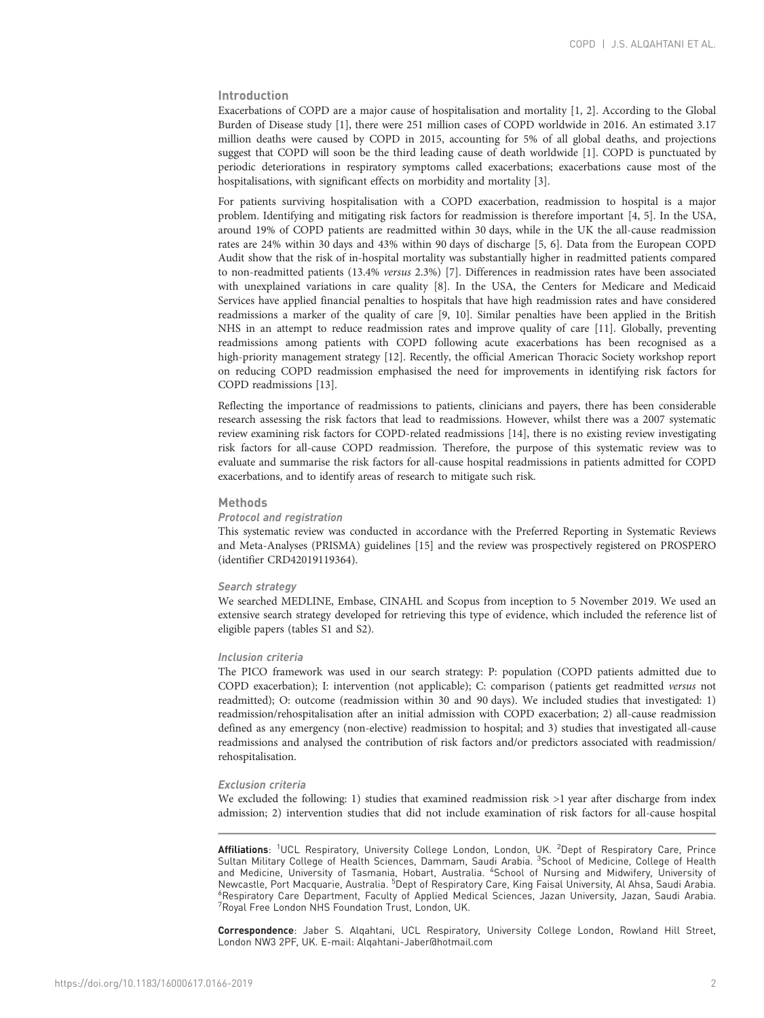# Introduction

Exacerbations of COPD are a major cause of hospitalisation and mortality [\[1](#page-13-0), [2\]](#page-13-0). According to the Global Burden of Disease study [[1\]](#page-13-0), there were 251 million cases of COPD worldwide in 2016. An estimated 3.17 million deaths were caused by COPD in 2015, accounting for 5% of all global deaths, and projections suggest that COPD will soon be the third leading cause of death worldwide [\[1\]](#page-13-0). COPD is punctuated by periodic deteriorations in respiratory symptoms called exacerbations; exacerbations cause most of the hospitalisations, with significant effects on morbidity and mortality [\[3\]](#page-13-0).

For patients surviving hospitalisation with a COPD exacerbation, readmission to hospital is a major problem. Identifying and mitigating risk factors for readmission is therefore important [[4](#page-13-0), [5](#page-13-0)]. In the USA, around 19% of COPD patients are readmitted within 30 days, while in the UK the all-cause readmission rates are 24% within 30 days and 43% within 90 days of discharge [[5](#page-13-0), [6](#page-13-0)]. Data from the European COPD Audit show that the risk of in-hospital mortality was substantially higher in readmitted patients compared to non-readmitted patients (13.4% versus 2.3%) [\[7\]](#page-13-0). Differences in readmission rates have been associated with unexplained variations in care quality [\[8\]](#page-13-0). In the USA, the Centers for Medicare and Medicaid Services have applied financial penalties to hospitals that have high readmission rates and have considered readmissions a marker of the quality of care [[9, 10](#page-13-0)]. Similar penalties have been applied in the British NHS in an attempt to reduce readmission rates and improve quality of care [[11](#page-13-0)]. Globally, preventing readmissions among patients with COPD following acute exacerbations has been recognised as a high-priority management strategy [[12](#page-13-0)]. Recently, the official American Thoracic Society workshop report on reducing COPD readmission emphasised the need for improvements in identifying risk factors for COPD readmissions [\[13\]](#page-13-0).

Reflecting the importance of readmissions to patients, clinicians and payers, there has been considerable research assessing the risk factors that lead to readmissions. However, whilst there was a 2007 systematic review examining risk factors for COPD-related readmissions [\[14\]](#page-13-0), there is no existing review investigating risk factors for all-cause COPD readmission. Therefore, the purpose of this systematic review was to evaluate and summarise the risk factors for all-cause hospital readmissions in patients admitted for COPD exacerbations, and to identify areas of research to mitigate such risk.

#### **Methods**

#### Protocol and registration

This systematic review was conducted in accordance with the Preferred Reporting in Systematic Reviews and Meta-Analyses (PRISMA) guidelines [[15](#page-13-0)] and the review was prospectively registered on PROSPERO (identifier CRD42019119364).

#### Search strategy

We searched MEDLINE, Embase, CINAHL and Scopus from inception to 5 November 2019. We used an extensive search strategy developed for retrieving this type of evidence, which included the reference list of eligible papers [\(tables S1 and S2\)](http://err.ersjournals.com/lookup/doi/10.1183/16000617.0166-2019.figures-only#fig-data-supplementary-materials).

#### Inclusion criteria

The PICO framework was used in our search strategy: P: population (COPD patients admitted due to COPD exacerbation); I: intervention (not applicable); C: comparison ( patients get readmitted versus not readmitted); O: outcome (readmission within 30 and 90 days). We included studies that investigated: 1) readmission/rehospitalisation after an initial admission with COPD exacerbation; 2) all-cause readmission defined as any emergency (non-elective) readmission to hospital; and 3) studies that investigated all-cause readmissions and analysed the contribution of risk factors and/or predictors associated with readmission/ rehospitalisation.

#### Exclusion criteria

We excluded the following: 1) studies that examined readmission risk >1 year after discharge from index admission; 2) intervention studies that did not include examination of risk factors for all-cause hospital

**Affiliations**: <sup>1</sup>UCL Respiratory, University College London, London, UK. <sup>2</sup>Dept of Respiratory Care, Prince<br>Sultan Military College of Health Sciences, Dammam, Saudi Arabia. <sup>3</sup>School of Medicine, College of Health and Medicine, University of Tasmania, Hobart, Australia. <sup>4</sup> School of Nursing and Midwifery, University of Newcastle, Port Macquarie, Australia. <sup>5</sup>Dept of Respiratory Care, King Faisal University, Al Ahsa, Saudi Arabia.<br><sup>6</sup> Respiratory Care Department, Faculty of Annlied Medical Sciences, Jazzn University, Jazzn, Saudi Arabia. <sup>6</sup> Respiratory Care Department, Faculty of Applied Medical Sciences, Jazan University, Jazan, Saudi Arabia. 7 Royal Free London NHS Foundation Trust, London, UK.

Correspondence: Jaber S. Alqahtani, UCL Respiratory, University College London, Rowland Hill Street, London NW3 2PF, UK. E-mail: [Alqahtani-Jaber@hotmail.com](mailto:Alqahtani-Jaber@hotmail.com)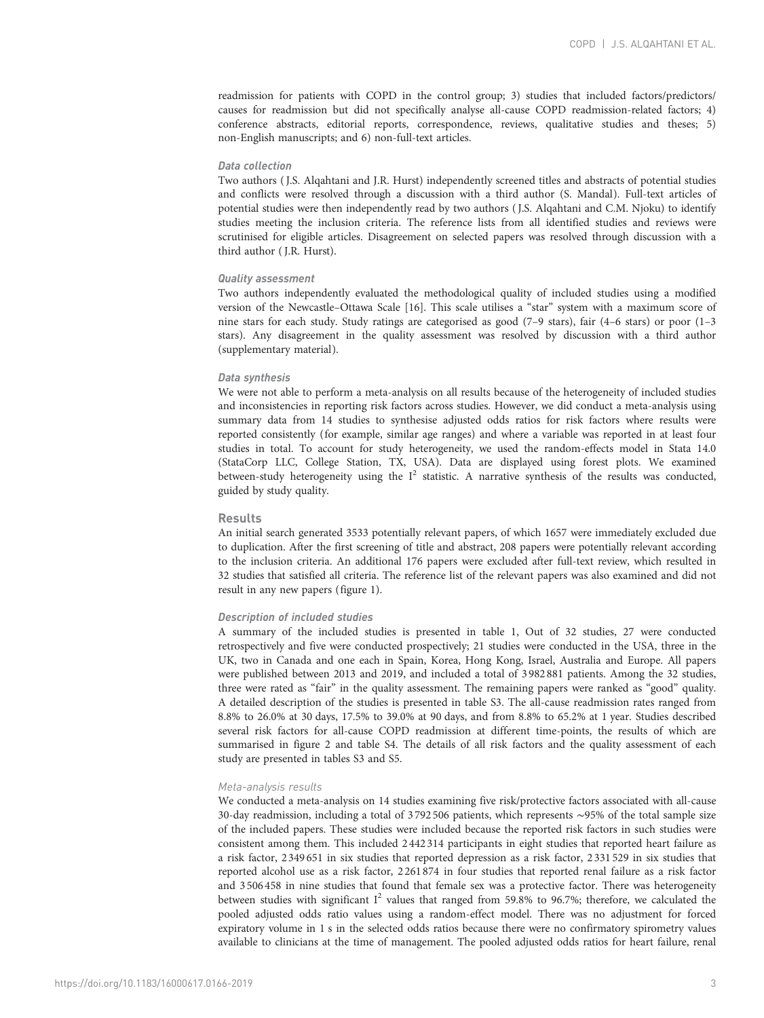readmission for patients with COPD in the control group; 3) studies that included factors/predictors/ causes for readmission but did not specifically analyse all-cause COPD readmission-related factors; 4) conference abstracts, editorial reports, correspondence, reviews, qualitative studies and theses; 5) non-English manuscripts; and 6) non-full-text articles.

## Data collection

Two authors ( J.S. Alqahtani and J.R. Hurst) independently screened titles and abstracts of potential studies and conflicts were resolved through a discussion with a third author (S. Mandal). Full-text articles of potential studies were then independently read by two authors ( J.S. Alqahtani and C.M. Njoku) to identify studies meeting the inclusion criteria. The reference lists from all identified studies and reviews were scrutinised for eligible articles. Disagreement on selected papers was resolved through discussion with a third author ( J.R. Hurst).

#### Quality assessment

Two authors independently evaluated the methodological quality of included studies using a modified version of the Newcastle–Ottawa Scale [[16](#page-13-0)]. This scale utilises a "star" system with a maximum score of nine stars for each study. Study ratings are categorised as good (7–9 stars), fair (4–6 stars) or poor (1–3 stars). Any disagreement in the quality assessment was resolved by discussion with a third author [\(supplementary material](http://err.ersjournals.com/lookup/doi/10.1183/16000617.0166-2019.figures-only#fig-data-supplementary-materials)).

### Data synthesis

We were not able to perform a meta-analysis on all results because of the heterogeneity of included studies and inconsistencies in reporting risk factors across studies. However, we did conduct a meta-analysis using summary data from 14 studies to synthesise adjusted odds ratios for risk factors where results were reported consistently (for example, similar age ranges) and where a variable was reported in at least four studies in total. To account for study heterogeneity, we used the random-effects model in Stata 14.0 (StataCorp LLC, College Station, TX, USA). Data are displayed using forest plots. We examined between-study heterogeneity using the  $I^2$  statistic. A narrative synthesis of the results was conducted, guided by study quality.

#### Results

An initial search generated 3533 potentially relevant papers, of which 1657 were immediately excluded due to duplication. After the first screening of title and abstract, 208 papers were potentially relevant according to the inclusion criteria. An additional 176 papers were excluded after full-text review, which resulted in 32 studies that satisfied all criteria. The reference list of the relevant papers was also examined and did not result in any new papers ([figure 1\)](#page-3-0).

#### Description of included studies

A summary of the included studies is presented in [table 1,](#page-4-0) Out of 32 studies, 27 were conducted retrospectively and five were conducted prospectively; 21 studies were conducted in the USA, three in the UK, two in Canada and one each in Spain, Korea, Hong Kong, Israel, Australia and Europe. All papers were published between 2013 and 2019, and included a total of 3 982 881 patients. Among the 32 studies, three were rated as "fair" in the quality assessment. The remaining papers were ranked as "good" quality. A detailed description of the studies is presented in [table S3](http://err.ersjournals.com/lookup/doi/10.1183/16000617.0166-2019.figures-only#fig-data-supplementary-materials). The all-cause readmission rates ranged from 8.8% to 26.0% at 30 days, 17.5% to 39.0% at 90 days, and from 8.8% to 65.2% at 1 year. Studies described several risk factors for all-cause COPD readmission at different time-points, the results of which are summarised in [figure 2](#page-8-0) and [table S4](http://err.ersjournals.com/lookup/doi/10.1183/16000617.0166-2019.figures-only#fig-data-supplementary-materials). The details of all risk factors and the quality assessment of each study are presented in [tables S3 and S5.](http://err.ersjournals.com/lookup/doi/10.1183/16000617.0166-2019.figures-only#fig-data-supplementary-materials)

## Meta-analysis results

We conducted a meta-analysis on 14 studies examining five risk/protective factors associated with all-cause 30-day readmission, including a total of 3 792 506 patients, which represents ∼95% of the total sample size of the included papers. These studies were included because the reported risk factors in such studies were consistent among them. This included 2442 314 participants in eight studies that reported heart failure as a risk factor, 2349 651 in six studies that reported depression as a risk factor, 2 331 529 in six studies that reported alcohol use as a risk factor, 2 261 874 in four studies that reported renal failure as a risk factor and 3 506458 in nine studies that found that female sex was a protective factor. There was heterogeneity between studies with significant  $I^2$  values that ranged from 59.8% to 96.7%; therefore, we calculated the pooled adjusted odds ratio values using a random-effect model. There was no adjustment for forced expiratory volume in 1 s in the selected odds ratios because there were no confirmatory spirometry values available to clinicians at the time of management. The pooled adjusted odds ratios for heart failure, renal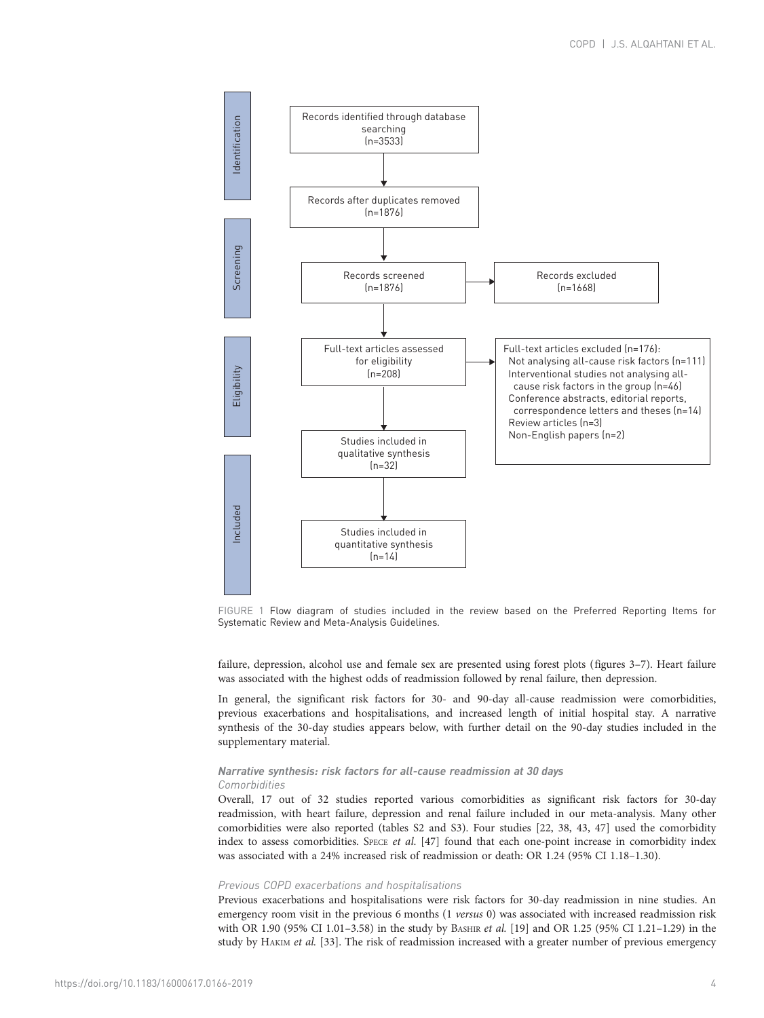<span id="page-3-0"></span>

FIGURE 1 Flow diagram of studies included in the review based on the Preferred Reporting Items for Systematic Review and Meta-Analysis Guidelines.

failure, depression, alcohol use and female sex are presented using forest plots [\(figures 3](#page-8-0)–[7\)](#page-10-0). Heart failure was associated with the highest odds of readmission followed by renal failure, then depression.

In general, the significant risk factors for 30- and 90-day all-cause readmission were comorbidities, previous exacerbations and hospitalisations, and increased length of initial hospital stay. A narrative synthesis of the 30-day studies appears below, with further detail on the 90-day studies included in the [supplementary material](http://err.ersjournals.com/lookup/doi/10.1183/16000617.0166-2019.figures-only#fig-data-supplementary-materials).

# Narrative synthesis: risk factors for all-cause readmission at 30 days Comorbidities

Overall, 17 out of 32 studies reported various comorbidities as significant risk factors for 30-day readmission, with heart failure, depression and renal failure included in our meta-analysis. Many other comorbidities were also reported [\(tables S2 and S3](http://err.ersjournals.com/lookup/doi/10.1183/16000617.0166-2019.figures-only#fig-data-supplementary-materials)). Four studies [\[22, 38, 43](#page-14-0), [47\]](#page-14-0) used the comorbidity index to assess comorbidities. SPECE et al. [\[47\]](#page-14-0) found that each one-point increase in comorbidity index was associated with a 24% increased risk of readmission or death: OR 1.24 (95% CI 1.18–1.30).

## Previous COPD exacerbations and hospitalisations

Previous exacerbations and hospitalisations were risk factors for 30-day readmission in nine studies. An emergency room visit in the previous 6 months (1 versus 0) was associated with increased readmission risk with OR 1.90 (95% CI 1.01-3.58) in the study by BASHIR et al. [[19\]](#page-14-0) and OR 1.25 (95% CI 1.21-1.29) in the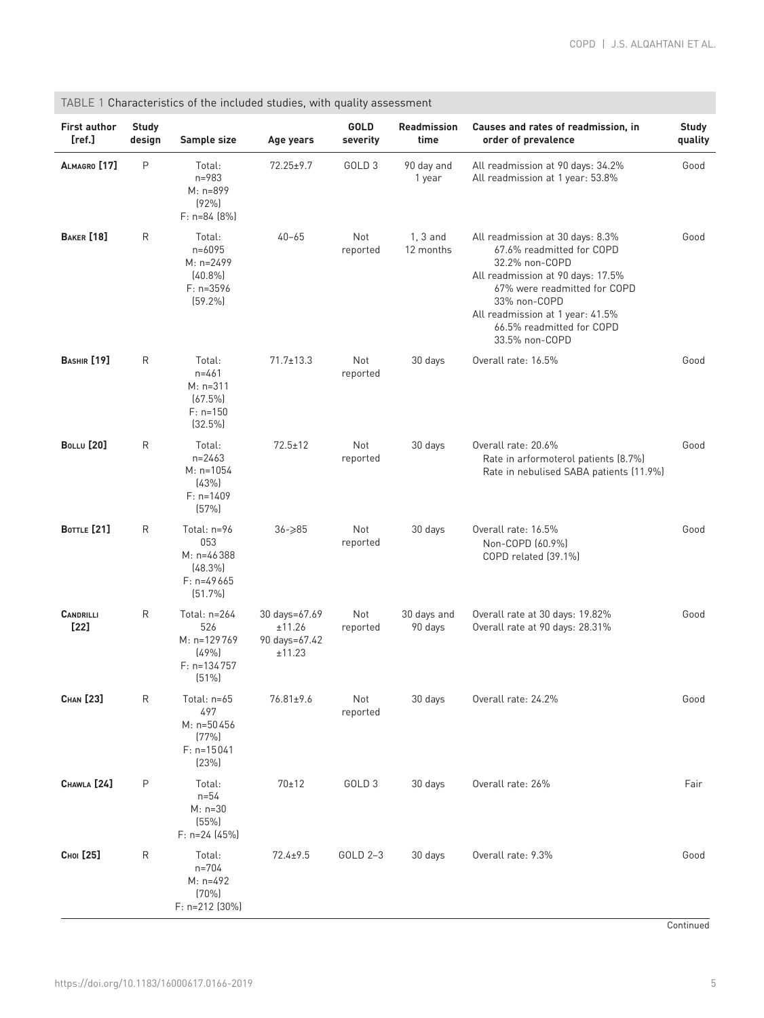| <b>First author</b><br>[ref.] | <b>Study</b><br>design | Sample size                                                                 | Age years                                          | <b>GOLD</b><br>severity | <b>Readmission</b><br>time | Causes and rates of readmission, in<br>order of prevalence                                                                                                                                                                                              | <b>Study</b><br>quality |
|-------------------------------|------------------------|-----------------------------------------------------------------------------|----------------------------------------------------|-------------------------|----------------------------|---------------------------------------------------------------------------------------------------------------------------------------------------------------------------------------------------------------------------------------------------------|-------------------------|
| ALMAGRO [17]                  | P                      | Total:<br>$n = 983$<br>M: n=899<br>(92%)<br>$F: n=84 [8%]$                  | $72.25 \pm 9.7$                                    | GOLD <sub>3</sub>       | 90 day and<br>1 year       | All readmission at 90 days: 34.2%<br>All readmission at 1 year: 53.8%                                                                                                                                                                                   | Good                    |
| <b>BAKER</b> [18]             | R                      | Total:<br>$n = 6095$<br>M: n=2499<br>$(40.8\%)$<br>$F: n=3596$<br>[59.2%]   | $40 - 65$                                          | Not<br>reported         | $1, 3$ and<br>12 months    | All readmission at 30 days: 8.3%<br>67.6% readmitted for COPD<br>32.2% non-COPD<br>All readmission at 90 days: 17.5%<br>67% were readmitted for COPD<br>33% non-COPD<br>All readmission at 1 year: 41.5%<br>66.5% readmitted for COPD<br>33.5% non-COPD | Good                    |
| <b>BASHIR</b> [19]            | $\mathsf{R}$           | Total:<br>$n = 461$<br>$M: n=311$<br>$(67.5\%)$<br>$F: n=150$<br>$(32.5\%)$ | $71.7 \pm 13.3$                                    | Not<br>reported         | 30 days                    | Overall rate: 16.5%                                                                                                                                                                                                                                     | Good                    |
| <b>BOLLU</b> [20]             | $\mathsf{R}$           | Total:<br>$n = 2463$<br>$M: n=1054$<br>[43%]<br>$F: n=1409$<br>(57%)        | $72.5 \pm 12$                                      | Not<br>reported         | 30 days                    | Overall rate: 20.6%<br>Rate in arformoterol patients (8.7%)<br>Rate in nebulised SABA patients (11.9%)                                                                                                                                                  | Good                    |
| <b>BOTTLE</b> [21]            | R                      | Total: n=96<br>053<br>M: n=46388<br>$(48.3\%)$<br>$F: n=49665$<br>(51.7%)   | $36 - 285$                                         | Not<br>reported         | 30 days                    | Overall rate: 16.5%<br>Non-COPD [60.9%]<br>COPD related (39.1%)                                                                                                                                                                                         | Good                    |
| <b>CANDRILLI</b><br>[22]      | R                      | Total: n=264<br>526<br>M: n=129769<br>(49%<br>$F: n=134757$<br>(51%)        | 30 days=67.69<br>±11.26<br>90 days=67.42<br>±11.23 | Not<br>reported         | 30 days and<br>90 days     | Overall rate at 30 days: 19.82%<br>Overall rate at 90 days: 28.31%                                                                                                                                                                                      | Good                    |
| CHAN [23]                     | R                      | Total: n=65<br>497<br>M: n=50456<br>(77%)<br>$F: n=15041$<br>(23%)          | 76.81±9.6                                          | Not<br>reported         | 30 days                    | Overall rate: 24.2%                                                                                                                                                                                                                                     | Good                    |
| CHAWLA [24]                   | P                      | Total:<br>$n = 54$<br>$M: n=30$<br>(55%)<br>$F: n=24$ (45%)                 | $70 + 12$                                          | GOLD <sub>3</sub>       | 30 days                    | Overall rate: 26%                                                                                                                                                                                                                                       | Fair                    |
| Сног [25]                     | $\mathsf{R}$           | Total:<br>n=704<br>$M: n=492$<br>(70%<br>F: n=212 (30%)                     | $72.4 + 9.5$                                       | GOLD 2-3                | 30 days                    | Overall rate: 9.3%                                                                                                                                                                                                                                      | Good                    |

<span id="page-4-0"></span>TABLE 1 Characteristics of the included studies, with quality assessment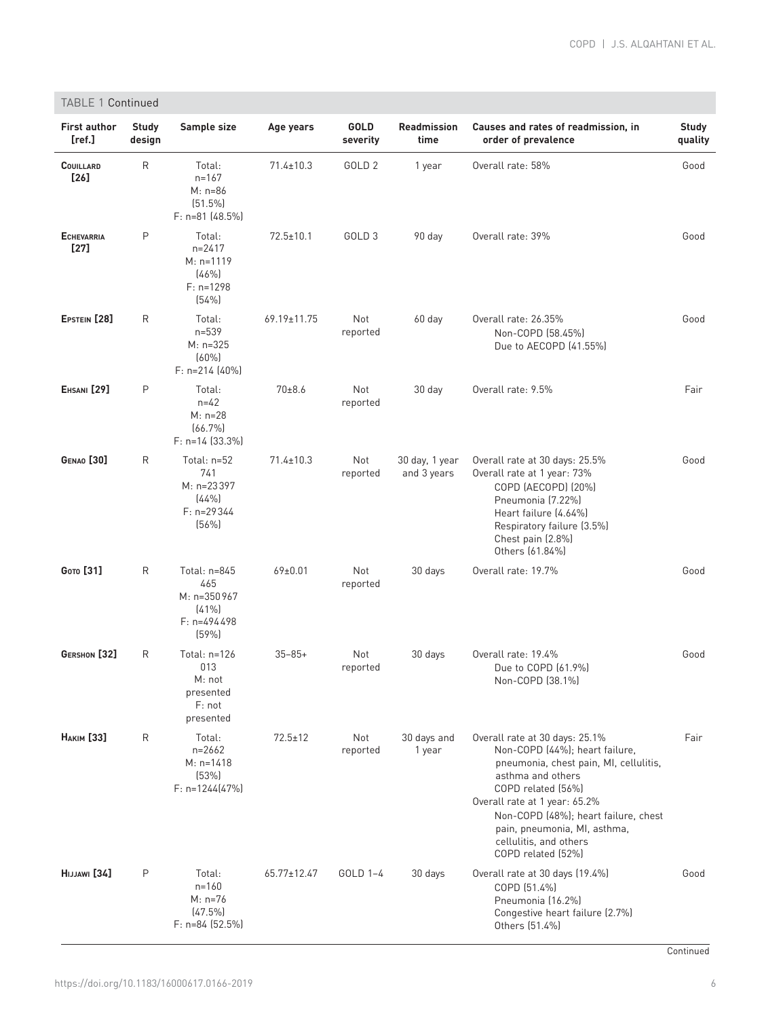|                               | <b>TABLE 1 Continued</b> |                                                                      |                 |                   |                               |                                                                                                                                                                                                                                                                                                                |                         |  |
|-------------------------------|--------------------------|----------------------------------------------------------------------|-----------------|-------------------|-------------------------------|----------------------------------------------------------------------------------------------------------------------------------------------------------------------------------------------------------------------------------------------------------------------------------------------------------------|-------------------------|--|
| <b>First author</b><br>[ref.] | <b>Study</b><br>design   | Sample size                                                          | Age years       | GOLD<br>severity  | <b>Readmission</b><br>time    | Causes and rates of readmission, in<br>order of prevalence                                                                                                                                                                                                                                                     | <b>Study</b><br>quality |  |
| <b>COUILLARD</b><br>[26]      | R                        | Total:<br>$n = 167$<br>$M: n=86$<br>[51.5%]<br>$F: n=81$ (48.5%)     | $71.4 \pm 10.3$ | GOLD <sub>2</sub> | 1 year                        | Overall rate: 58%                                                                                                                                                                                                                                                                                              | Good                    |  |
| <b>ECHEVARRIA</b><br>$[27]$   | P                        | Total:<br>$n = 2417$<br>$M: n=1119$<br>(46%)<br>$F: n=1298$<br>(54%) | $72.5 \pm 10.1$ | GOLD <sub>3</sub> | 90 day                        | Overall rate: 39%                                                                                                                                                                                                                                                                                              | Good                    |  |
| EPSTEIN [28]                  | R                        | Total:<br>$n = 539$<br>$M: n=325$<br>(60%<br>$F: n=214$ (40%)        | 69.19±11.75     | Not<br>reported   | 60 day                        | Overall rate: 26.35%<br>Non-COPD (58.45%)<br>Due to AECOPD (41.55%)                                                                                                                                                                                                                                            | Good                    |  |
| EHSANI <sup>[29]</sup>        | P                        | Total:<br>$n = 42$<br>$M: n=28$<br>$(66.7\%)$<br>$F: n=14$ (33.3%)   | 70±8.6          | Not<br>reported   | 30 day                        | Overall rate: 9.5%                                                                                                                                                                                                                                                                                             | Fair                    |  |
| <b>GENAO</b> [30]             | R                        | Total: n=52<br>741<br>M: n=23397<br>(44%<br>$F: n=29344$<br>(56%)    | $71.4 \pm 10.3$ | Not<br>reported   | 30 day, 1 year<br>and 3 years | Overall rate at 30 days: 25.5%<br>Overall rate at 1 year: 73%<br>COPD (AECOPD) (20%)<br>Pneumonia (7.22%)<br>Heart failure (4.64%)<br>Respiratory failure (3.5%)<br>Chest pain (2.8%)<br>Others (61.84%)                                                                                                       | Good                    |  |
| <b>Сото</b> [31]              | R                        | Total: n=845<br>465<br>M: n=350967<br>(41%<br>$F: n=494498$<br>[59%] | $69 \pm 0.01$   | Not<br>reported   | 30 days                       | Overall rate: 19.7%                                                                                                                                                                                                                                                                                            | Good                    |  |
| GERSHON [32]                  | R                        | Total: n=126<br>013<br>M: not<br>presented<br>F: not<br>presented    | $35 - 85 +$     | Not<br>reported   | 30 days                       | Overall rate: 19.4%<br>Due to COPD (61.9%)<br>Non-COPD (38.1%)                                                                                                                                                                                                                                                 | Good                    |  |
| <b>НАКІМ</b> [33]             | R                        | Total:<br>$n = 2662$<br>$M: n=1418$<br>(53%)<br>$F: n=1244[47%]$     | $72.5 \pm 12$   | Not<br>reported   | 30 days and<br>1 year         | Overall rate at 30 days: 25.1%<br>Non-COPD (44%); heart failure,<br>pneumonia, chest pain, MI, cellulitis,<br>asthma and others<br>COPD related (56%)<br>Overall rate at 1 year: 65.2%<br>Non-COPD (48%); heart failure, chest<br>pain, pneumonia, MI, asthma,<br>cellulitis, and others<br>COPD related (52%) | Fair                    |  |
| HIJJAWI [34]                  | P                        | Total:<br>$n = 160$<br>$M: n=76$<br>$(47.5\%)$<br>$F: n=84$ (52.5%)  | 65.77±12.47     | GOLD 1-4          | 30 days                       | Overall rate at 30 days (19.4%)<br>COPD (51.4%)<br>Pneumonia (16.2%)<br>Congestive heart failure (2.7%)<br>Others (51.4%)                                                                                                                                                                                      | Good                    |  |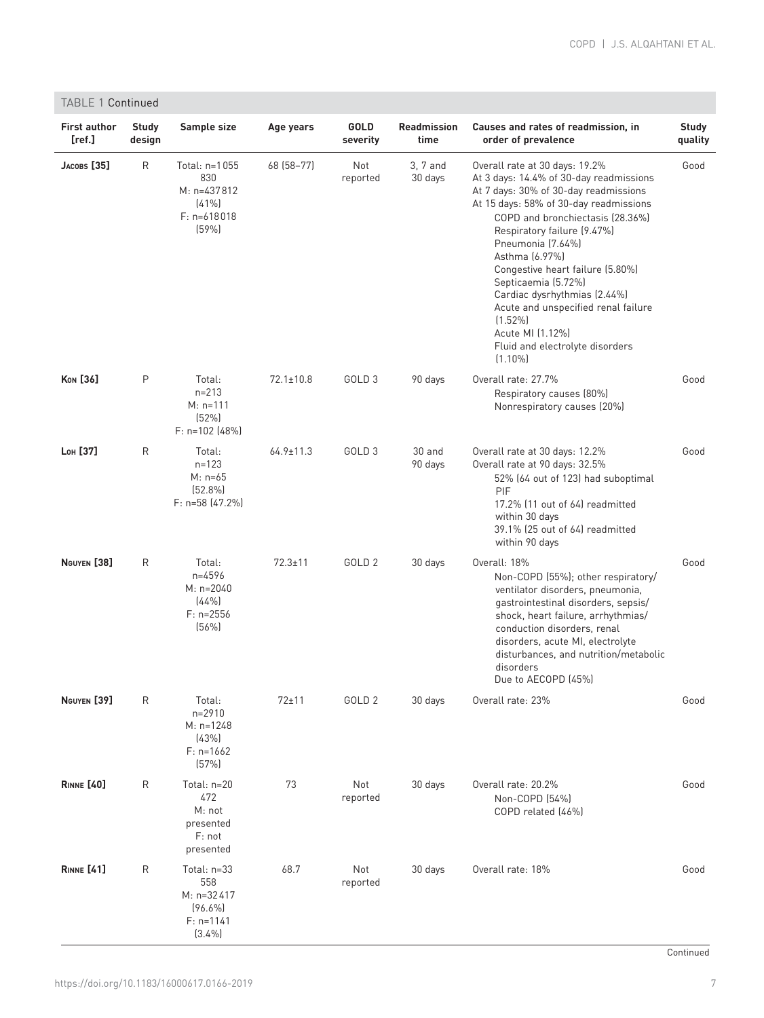| <b>TABLE 1 Continued</b>      |                        |                                                                             |                 |                   |                            |                                                                                                                                                                                                                                                                                                                                                                                                                                                                                             |                         |
|-------------------------------|------------------------|-----------------------------------------------------------------------------|-----------------|-------------------|----------------------------|---------------------------------------------------------------------------------------------------------------------------------------------------------------------------------------------------------------------------------------------------------------------------------------------------------------------------------------------------------------------------------------------------------------------------------------------------------------------------------------------|-------------------------|
| <b>First author</b><br>[ref.] | <b>Study</b><br>design | Sample size                                                                 | Age years       | GOLD<br>severity  | <b>Readmission</b><br>time | Causes and rates of readmission, in<br>order of prevalence                                                                                                                                                                                                                                                                                                                                                                                                                                  | <b>Study</b><br>quality |
| $JACOBS$ $[35]$               | $\mathsf{R}$           | Total: n=1055<br>830<br>$M: n=437812$<br>$(41\%)$<br>$F: n=618018$<br>(59%) | 68 (58-77)      | Not<br>reported   | 3, 7 and<br>30 days        | Overall rate at 30 days: 19.2%<br>At 3 days: 14.4% of 30-day readmissions<br>At 7 days: 30% of 30-day readmissions<br>At 15 days: 58% of 30-day readmissions<br>COPD and bronchiectasis (28.36%)<br>Respiratory failure (9.47%)<br>Pneumonia (7.64%)<br>Asthma (6.97%)<br>Congestive heart failure (5.80%)<br>Septicaemia (5.72%)<br>Cardiac dysrhythmias (2.44%)<br>Acute and unspecified renal failure<br>$(1.52\%)$<br>Acute MI (1.12%)<br>Fluid and electrolyte disorders<br>$(1.10\%)$ | Good                    |
| <b>Kon</b> [36]               | $\mathsf{P}$           | Total:<br>$n = 213$<br>$M: n=111$<br>(52%)<br>$F: n=102$ (48%)              | $72.1 \pm 10.8$ | GOLD <sub>3</sub> | 90 days                    | Overall rate: 27.7%<br>Respiratory causes (80%)<br>Nonrespiratory causes (20%)                                                                                                                                                                                                                                                                                                                                                                                                              | Good                    |
| Lon [37]                      | R                      | Total:<br>$n = 123$<br>$M: n=65$<br>$(52.8\%)$<br>F: n=58 (47.2%)           | $64.9 \pm 11.3$ | GOLD <sub>3</sub> | $30$ and<br>90 days        | Overall rate at 30 days: 12.2%<br>Overall rate at 90 days: 32.5%<br>52% (64 out of 123) had suboptimal<br>PIF<br>17.2% (11 out of 64) readmitted<br>within 30 days<br>39.1% (25 out of 64) readmitted<br>within 90 days                                                                                                                                                                                                                                                                     | Good                    |
| NGUYEN <sup>[38]</sup>        | $\mathsf{R}$           | Total:<br>$n=4596$<br>$M: n=2040$<br>(44%<br>$F: n=2556$<br>(56%)           | $72.3 \pm 11$   | GOLD <sub>2</sub> | 30 days                    | Overall: 18%<br>Non-COPD (55%); other respiratory/<br>ventilator disorders, pneumonia,<br>gastrointestinal disorders, sepsis/<br>shock, heart failure, arrhythmias/<br>conduction disorders, renal<br>disorders, acute MI, electrolyte<br>disturbances, and nutrition/metabolic<br>disorders<br>Due to AECOPD (45%)                                                                                                                                                                         | Good                    |
| NGUYEN <sup>[39]</sup>        | R                      | Total:<br>$n = 2910$<br>$M: n=1248$<br>(43%)<br>$F: n=1662$<br>(57%)        | $72 + 11$       | GOLD <sub>2</sub> | 30 days                    | Overall rate: 23%                                                                                                                                                                                                                                                                                                                                                                                                                                                                           | Good                    |
| <b>RINNE</b> [40]             | R                      | Total: $n=20$<br>472<br>M: not<br>presented<br>F: not<br>presented          | 73              | Not<br>reported   | 30 days                    | Overall rate: 20.2%<br>Non-COPD (54%)<br>COPD related (46%)                                                                                                                                                                                                                                                                                                                                                                                                                                 | Good                    |
| <b>RINNE</b> [41]             | R                      | Total: n=33<br>558<br>M: n=32417<br>$(96.6\%)$<br>$F: n=1141$<br>(3.4%)     | 68.7            | Not<br>reported   | 30 days                    | Overall rate: 18%                                                                                                                                                                                                                                                                                                                                                                                                                                                                           | Good                    |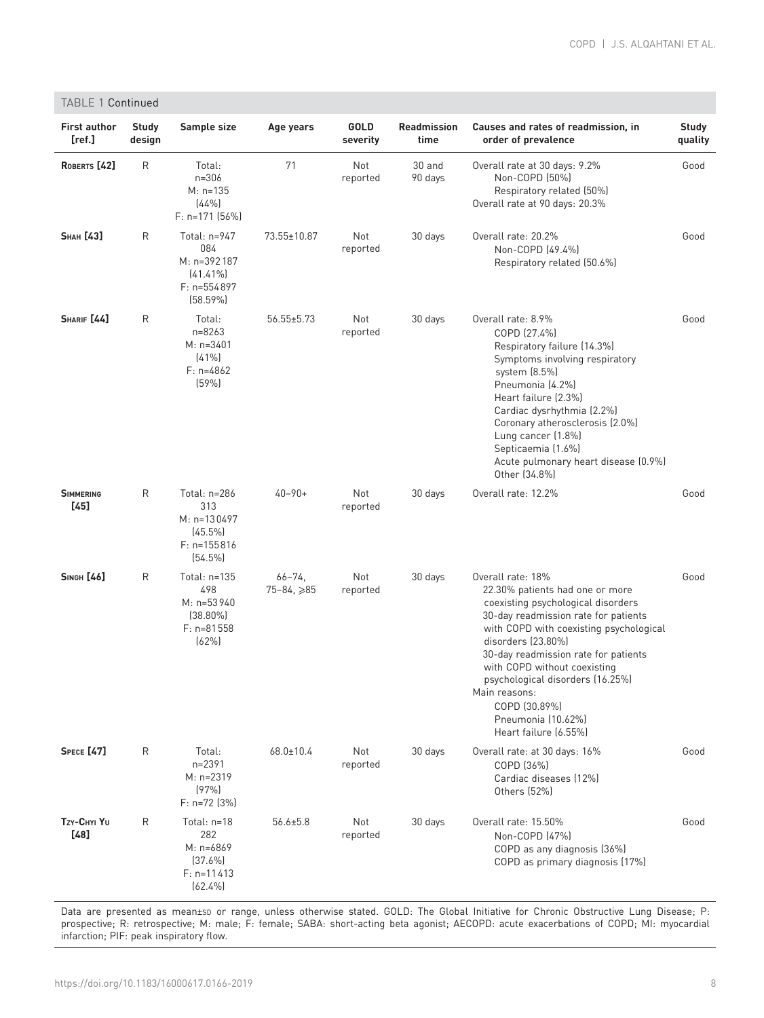| TABLE 1 Continued             |                        |                                                                                 |                                 |                  |                     |                                                                                                                                                                                                                                                                                                                                                                                                  |                         |
|-------------------------------|------------------------|---------------------------------------------------------------------------------|---------------------------------|------------------|---------------------|--------------------------------------------------------------------------------------------------------------------------------------------------------------------------------------------------------------------------------------------------------------------------------------------------------------------------------------------------------------------------------------------------|-------------------------|
| <b>First author</b><br>[ref.] | <b>Study</b><br>design | Sample size                                                                     | Age years                       | GOLD<br>severity | Readmission<br>time | Causes and rates of readmission, in<br>order of prevalence                                                                                                                                                                                                                                                                                                                                       | <b>Study</b><br>quality |
| ROBERTS <sup>[42]</sup>       | R                      | Total:<br>$n = 306$<br>$M: n=135$<br>(44%<br>$F: n=171$ (56%)                   | 71                              | Not<br>reported  | 30 and<br>90 days   | Overall rate at 30 days: 9.2%<br>Non-COPD (50%)<br>Respiratory related (50%)<br>Overall rate at 90 days: 20.3%                                                                                                                                                                                                                                                                                   | Good                    |
| <b>SHAH [43]</b>              | R                      | Total: n=947<br>084<br>M: n=392187<br>$[41.41\%]$<br>$F: n=554897$<br>(58.59%)  | 73.55±10.87                     | Not<br>reported  | 30 days             | Overall rate: 20.2%<br>Non-COPD (49.4%)<br>Respiratory related (50.6%)                                                                                                                                                                                                                                                                                                                           | Good                    |
| SHARIF [44]                   | R                      | Total:<br>$n = 8263$<br>$M: n=3401$<br>(41%<br>$F: n=4862$<br>(59%)             | $56.55 \pm 5.73$                | Not<br>reported  | 30 days             | Overall rate: 8.9%<br>COPD (27.4%)<br>Respiratory failure (14.3%)<br>Symptoms involving respiratory<br>system (8.5%)<br>Pneumonia (4.2%)<br>Heart failure (2.3%)<br>Cardiac dysrhythmia (2.2%)<br>Coronary atherosclerosis (2.0%)<br>Lung cancer (1.8%)<br>Septicaemia (1.6%)<br>Acute pulmonary heart disease (0.9%)<br>Other (34.8%)                                                           | Good                    |
| <b>SIMMERING</b><br>$[45]$    | R                      | Total: n=286<br>313<br>M: n=130497<br>$(45.5\%)$<br>$F: n=155816$<br>$(54.5\%)$ | $40 - 90 +$                     | Not<br>reported  | 30 days             | Overall rate: 12.2%                                                                                                                                                                                                                                                                                                                                                                              | Good                    |
| <b>SINGH [46]</b>             | R                      | Total: n=135<br>498<br>M: n=53940<br>$(38.80\%)$<br>$F: n=81558$<br>(62%)       | $66 - 74$<br>$75 - 84, \geq 85$ | Not<br>reported  | 30 days             | Overall rate: 18%<br>22.30% patients had one or more<br>coexisting psychological disorders<br>30-day readmission rate for patients<br>with COPD with coexisting psychological<br>disorders (23.80%)<br>30-day readmission rate for patients<br>with COPD without coexisting<br>psychological disorders (16.25%)<br>Main reasons:<br>COPD (30.89%)<br>Pneumonia (10.62%)<br>Heart failure (6.55%) | Good                    |
| <b>SPECE</b> [47]             | R                      | Total:<br>$n = 2391$<br>$M: n=2319$<br>(97%<br>$F: n=72$ (3%)                   | $68.0 \pm 10.4$                 | Not<br>reported  | 30 days             | Overall rate: at 30 days: 16%<br>COPD (36%)<br>Cardiac diseases (12%)<br>Others (52%)                                                                                                                                                                                                                                                                                                            | Good                    |
| Tzy-Chyl Yu<br>[48]           | R                      | Total: n=18<br>282<br>$M: n=6869$<br>[37.6%]<br>$F: n=11413$<br>$(62.4\%)$      | $56.6 \pm 5.8$                  | Not<br>reported  | 30 days             | Overall rate: 15.50%<br>Non-COPD [47%]<br>COPD as any diagnosis (36%)<br>COPD as primary diagnosis (17%)                                                                                                                                                                                                                                                                                         | Good                    |

Data are presented as mean±sD or range, unless otherwise stated. GOLD: The Global Initiative for Chronic Obstructive Lung Disease; P: prospective; R: retrospective; M: male; F: female; SABA: short-acting beta agonist; AECOPD: acute exacerbations of COPD; MI: myocardial infarction; PIF: peak inspiratory flow.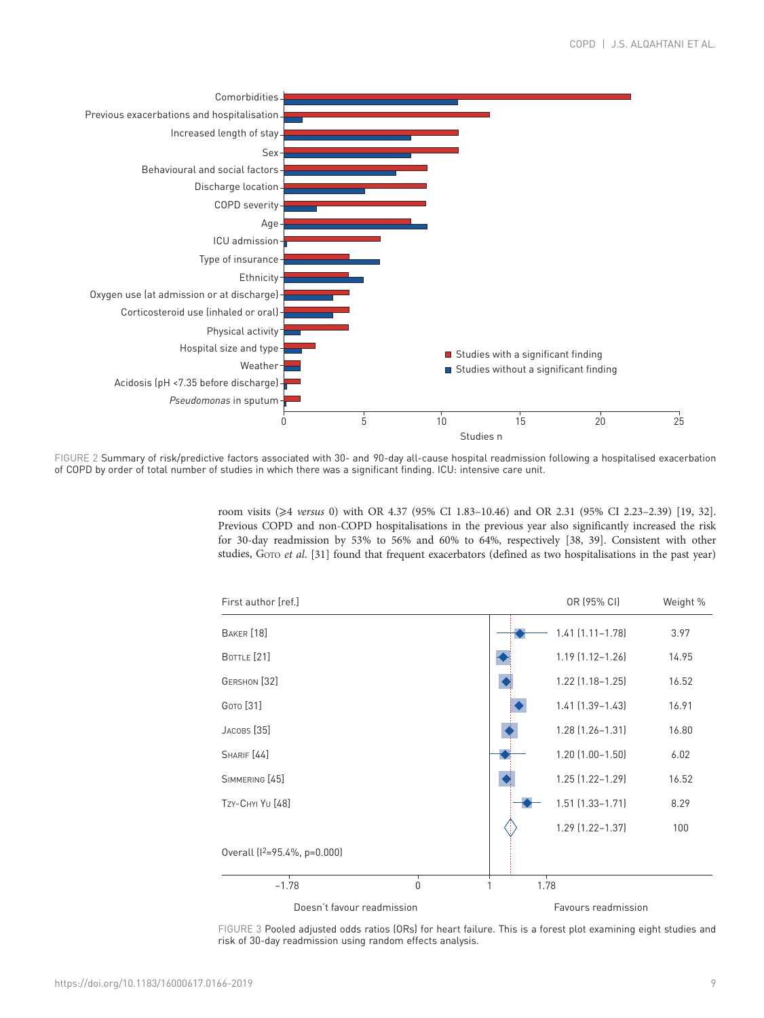<span id="page-8-0"></span>

FIGURE 2 Summary of risk/predictive factors associated with 30- and 90-day all-cause hospital readmission following a hospitalised exacerbation of COPD by order of total number of studies in which there was a significant finding. ICU: intensive care unit.

> room visits (⩾4 versus 0) with OR 4.37 (95% CI 1.83–10.46) and OR 2.31 (95% CI 2.23–2.39) [[19](#page-14-0), [32](#page-14-0)]. Previous COPD and non-COPD hospitalisations in the previous year also significantly increased the risk for 30-day readmission by 53% to 56% and 60% to 64%, respectively [\[38, 39\]](#page-14-0). Consistent with other studies, GOTO et al. [\[31](#page-14-0)] found that frequent exacerbators (defined as two hospitalisations in the past year)



FIGURE 3 Pooled adjusted odds ratios (ORs) for heart failure. This is a forest plot examining eight studies and risk of 30-day readmission using random effects analysis.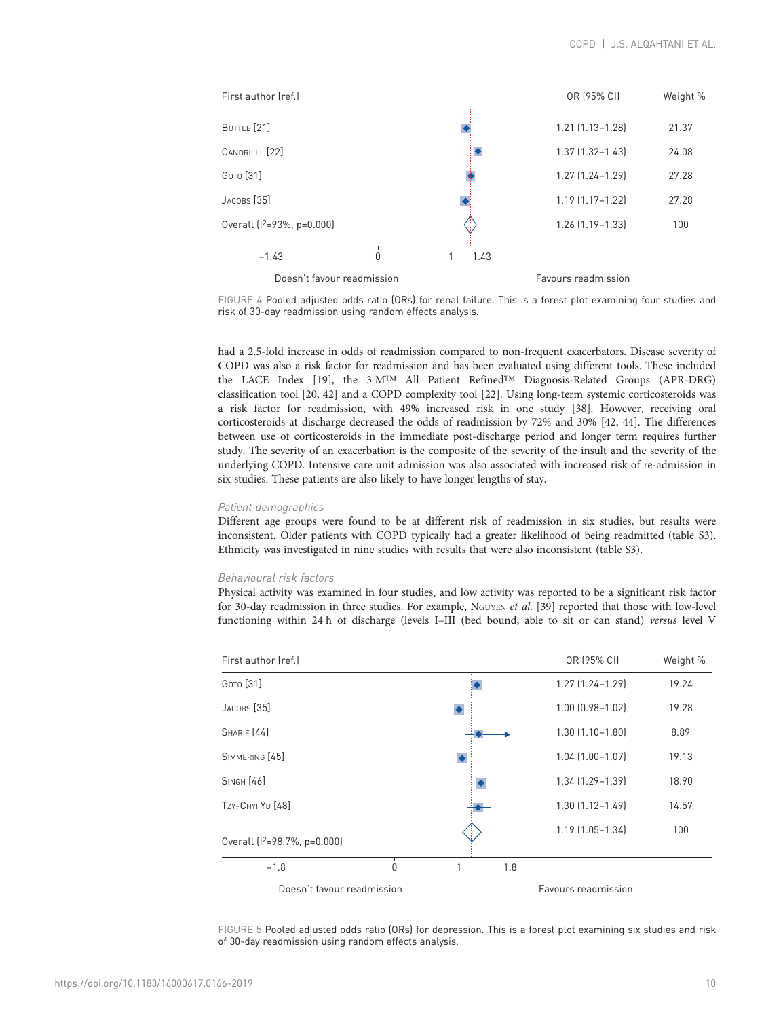| First author [ref.]               |                            |      | OR (95% CI)            | Weight % |
|-----------------------------------|----------------------------|------|------------------------|----------|
| BOTTLE [21]                       |                            |      | $1.21$ $[1.13 - 1.28]$ | 21.37    |
| CANDRILLI [22]                    |                            |      | $1.37$ $(1.32 - 1.43)$ | 24.08    |
| <b>GOTO</b> [31]                  |                            |      | $1.27$ $(1.24 - 1.29)$ | 27.28    |
| JACOBS <sup>[35]</sup>            |                            |      | $1.19$ $(1.17 - 1.22)$ | 27.28    |
| Overall ( $1^2 = 93\%$ , p=0.000) |                            | 18   | $1.26$ $(1.19 - 1.33)$ | 100      |
| $-1.43$                           | Ŋ                          | 1.43 |                        |          |
|                                   | Doesn't favour readmission |      | Favours readmission    |          |

FIGURE 4 Pooled adjusted odds ratio (ORs) for renal failure. This is a forest plot examining four studies and risk of 30-day readmission using random effects analysis.

had a 2.5-fold increase in odds of readmission compared to non-frequent exacerbators. Disease severity of COPD was also a risk factor for readmission and has been evaluated using different tools. These included the LACE Index [[19\]](#page-14-0), the 3 M™ All Patient Refined™ Diagnosis-Related Groups (APR-DRG) classification tool [\[20](#page-14-0), [42](#page-14-0)] and a COPD complexity tool [\[22\]](#page-14-0). Using long-term systemic corticosteroids was a risk factor for readmission, with 49% increased risk in one study [[38\]](#page-14-0). However, receiving oral corticosteroids at discharge decreased the odds of readmission by 72% and 30% [[42](#page-14-0), [44](#page-14-0)]. The differences between use of corticosteroids in the immediate post-discharge period and longer term requires further study. The severity of an exacerbation is the composite of the severity of the insult and the severity of the underlying COPD. Intensive care unit admission was also associated with increased risk of re-admission in six studies. These patients are also likely to have longer lengths of stay.

#### Patient demographics

Different age groups were found to be at different risk of readmission in six studies, but results were inconsistent. Older patients with COPD typically had a greater likelihood of being readmitted [\(table S3](http://err.ersjournals.com/lookup/doi/10.1183/16000617.0166-2019.figures-only#fig-data-supplementary-materials)). Ethnicity was investigated in nine studies with results that were also inconsistent ([table S3](http://err.ersjournals.com/lookup/doi/10.1183/16000617.0166-2019.figures-only#fig-data-supplementary-materials)).

## Behavioural risk factors

Physical activity was examined in four studies, and low activity was reported to be a significant risk factor for 30-day readmission in three studies. For example, NGUYEN et al. [\[39\]](#page-14-0) reported that those with low-level functioning within 24 h of discharge (levels I–III (bed bound, able to sit or can stand) versus level V



FIGURE 5 Pooled adjusted odds ratio (ORs) for depression. This is a forest plot examining six studies and risk of 30-day readmission using random effects analysis.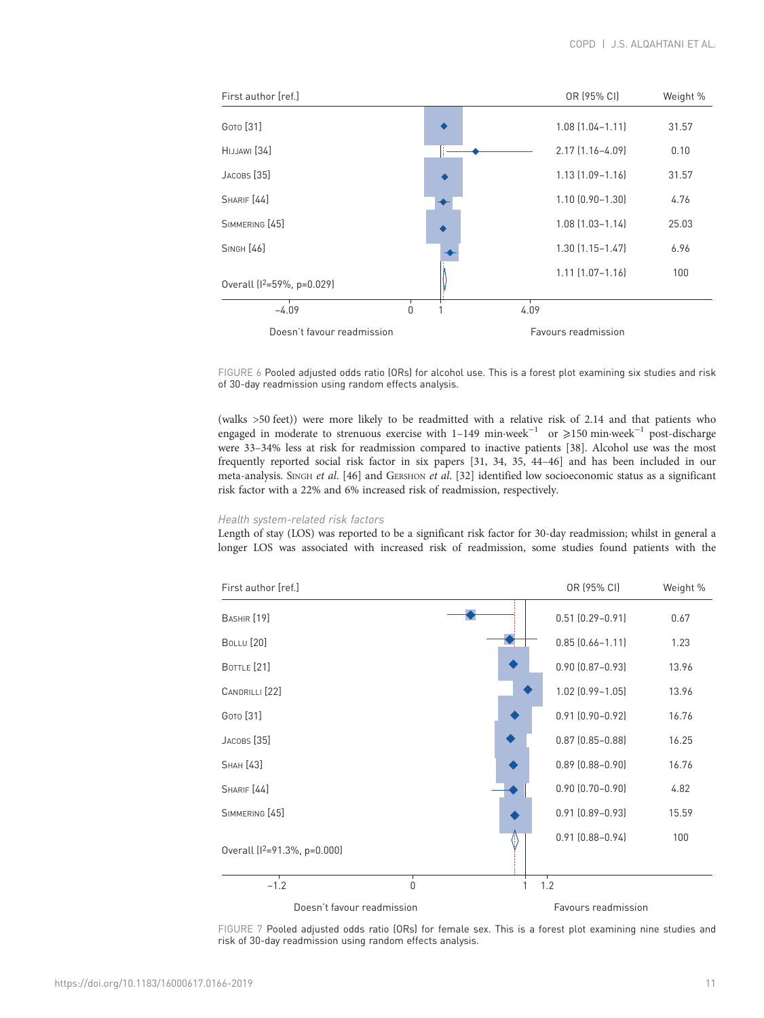<span id="page-10-0"></span>

FIGURE 6 Pooled adjusted odds ratio (ORs) for alcohol use. This is a forest plot examining six studies and risk of 30-day readmission using random effects analysis.

(walks >50 feet)) were more likely to be readmitted with a relative risk of 2.14 and that patients who engaged in moderate to strenuous exercise with 1–149 min·week−<sup>1</sup> or ⩾150 min·week−<sup>1</sup> post-discharge were 33–34% less at risk for readmission compared to inactive patients [\[38\]](#page-14-0). Alcohol use was the most frequently reported social risk factor in six papers [[31](#page-14-0), [34](#page-14-0), [35](#page-14-0), [44](#page-14-0)–[46](#page-14-0)] and has been included in our meta-analysis. SINGH et al. [\[46\]](#page-14-0) and GERSHON et al. [\[32\]](#page-14-0) identified low socioeconomic status as a significant risk factor with a 22% and 6% increased risk of readmission, respectively.

# Health system-related risk factors

Length of stay (LOS) was reported to be a significant risk factor for 30-day readmission; whilst in general a longer LOS was associated with increased risk of readmission, some studies found patients with the



FIGURE 7 Pooled adjusted odds ratio (ORs) for female sex. This is a forest plot examining nine studies and risk of 30-day readmission using random effects analysis.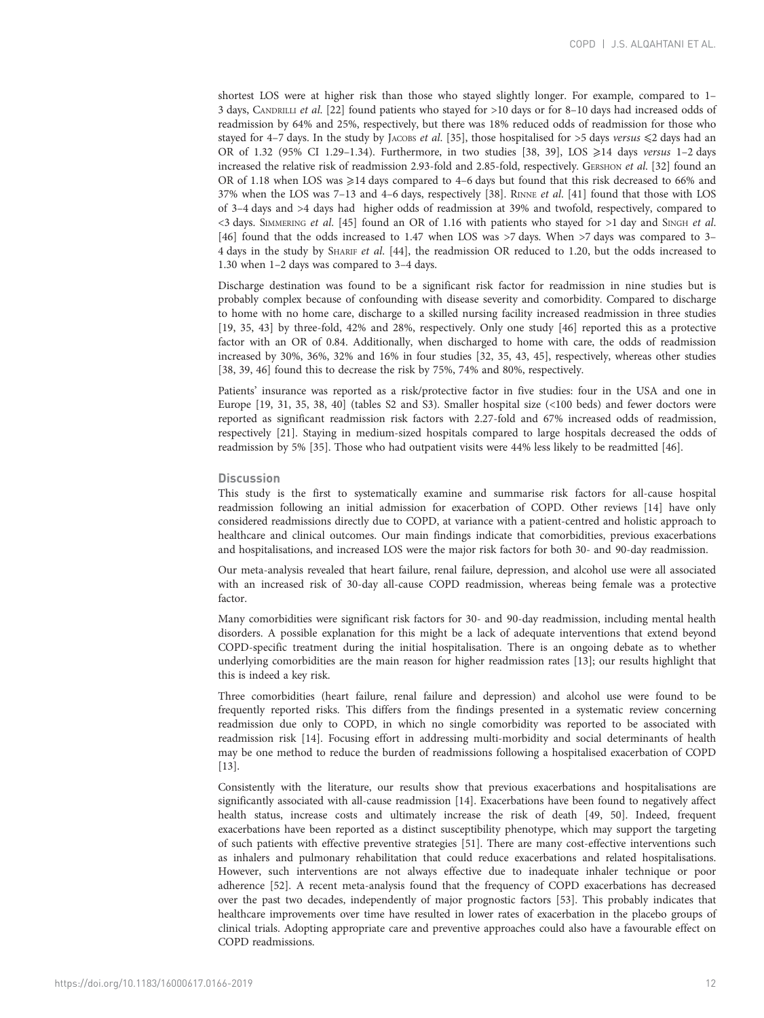shortest LOS were at higher risk than those who stayed slightly longer. For example, compared to 1– 3 days, CANDRILLI et al. [\[22](#page-14-0)] found patients who stayed for >10 days or for 8–10 days had increased odds of readmission by 64% and 25%, respectively, but there was 18% reduced odds of readmission for those who stayed for 4–7 days. In the study by JACOBS et al. [\[35\]](#page-14-0), those hospitalised for >5 days versus  $\leq 2$  days had an OR of 1.32 (95% CI 1.29–1.34). Furthermore, in two studies [\[38, 39\]](#page-14-0), LOS  $\geq 14$  days versus 1–2 days increased the relative risk of readmission 2.93-fold and 2.85-fold, respectively. GERSHON et al. [\[32\]](#page-14-0) found an OR of 1.18 when LOS was  $\geq 14$  days compared to 4–6 days but found that this risk decreased to 66% and 37% when the LOS was 7-13 and 4-6 days, respectively [\[38\]](#page-14-0). RINNE et al. [[41](#page-14-0)] found that those with LOS of 3–4 days and >4 days had higher odds of readmission at 39% and twofold, respectively, compared to <3 days. SIMMERING et al. [[45](#page-14-0)] found an OR of 1.16 with patients who stayed for >1 day and SINGH et al. [\[46\]](#page-14-0) found that the odds increased to 1.47 when LOS was >7 days. When >7 days was compared to 3– 4 days in the study by SHARIF et al. [[44](#page-14-0)], the readmission OR reduced to 1.20, but the odds increased to 1.30 when 1–2 days was compared to 3–4 days.

Discharge destination was found to be a significant risk factor for readmission in nine studies but is probably complex because of confounding with disease severity and comorbidity. Compared to discharge to home with no home care, discharge to a skilled nursing facility increased readmission in three studies [\[19, 35](#page-14-0), [43](#page-14-0)] by three-fold, 42% and 28%, respectively. Only one study [\[46](#page-14-0)] reported this as a protective factor with an OR of 0.84. Additionally, when discharged to home with care, the odds of readmission increased by 30%, 36%, 32% and 16% in four studies [\[32, 35, 43, 45\]](#page-14-0), respectively, whereas other studies [\[38, 39](#page-14-0), [46](#page-14-0)] found this to decrease the risk by 75%, 74% and 80%, respectively.

Patients' insurance was reported as a risk/protective factor in five studies: four in the USA and one in Europe [\[19, 31](#page-14-0), [35](#page-14-0), [38](#page-14-0), [40](#page-14-0)] ([tables S2 and S3\)](http://err.ersjournals.com/lookup/doi/10.1183/16000617.0166-2019.figures-only#fig-data-supplementary-materials). Smaller hospital size (<100 beds) and fewer doctors were reported as significant readmission risk factors with 2.27-fold and 67% increased odds of readmission, respectively [[21](#page-14-0)]. Staying in medium-sized hospitals compared to large hospitals decreased the odds of readmission by 5% [\[35\]](#page-14-0). Those who had outpatient visits were 44% less likely to be readmitted [\[46\]](#page-14-0).

## **Discussion**

This study is the first to systematically examine and summarise risk factors for all-cause hospital readmission following an initial admission for exacerbation of COPD. Other reviews [\[14\]](#page-13-0) have only considered readmissions directly due to COPD, at variance with a patient-centred and holistic approach to healthcare and clinical outcomes. Our main findings indicate that comorbidities, previous exacerbations and hospitalisations, and increased LOS were the major risk factors for both 30- and 90-day readmission.

Our meta-analysis revealed that heart failure, renal failure, depression, and alcohol use were all associated with an increased risk of 30-day all-cause COPD readmission, whereas being female was a protective factor.

Many comorbidities were significant risk factors for 30- and 90-day readmission, including mental health disorders. A possible explanation for this might be a lack of adequate interventions that extend beyond COPD-specific treatment during the initial hospitalisation. There is an ongoing debate as to whether underlying comorbidities are the main reason for higher readmission rates [\[13\]](#page-13-0); our results highlight that this is indeed a key risk.

Three comorbidities (heart failure, renal failure and depression) and alcohol use were found to be frequently reported risks. This differs from the findings presented in a systematic review concerning readmission due only to COPD, in which no single comorbidity was reported to be associated with readmission risk [\[14\]](#page-13-0). Focusing effort in addressing multi-morbidity and social determinants of health may be one method to reduce the burden of readmissions following a hospitalised exacerbation of COPD [\[13\]](#page-13-0).

Consistently with the literature, our results show that previous exacerbations and hospitalisations are significantly associated with all-cause readmission [[14](#page-13-0)]. Exacerbations have been found to negatively affect health status, increase costs and ultimately increase the risk of death [\[49, 50\]](#page-14-0). Indeed, frequent exacerbations have been reported as a distinct susceptibility phenotype, which may support the targeting of such patients with effective preventive strategies [[51](#page-14-0)]. There are many cost-effective interventions such as inhalers and pulmonary rehabilitation that could reduce exacerbations and related hospitalisations. However, such interventions are not always effective due to inadequate inhaler technique or poor adherence [\[52](#page-15-0)]. A recent meta-analysis found that the frequency of COPD exacerbations has decreased over the past two decades, independently of major prognostic factors [[53](#page-15-0)]. This probably indicates that healthcare improvements over time have resulted in lower rates of exacerbation in the placebo groups of clinical trials. Adopting appropriate care and preventive approaches could also have a favourable effect on COPD readmissions.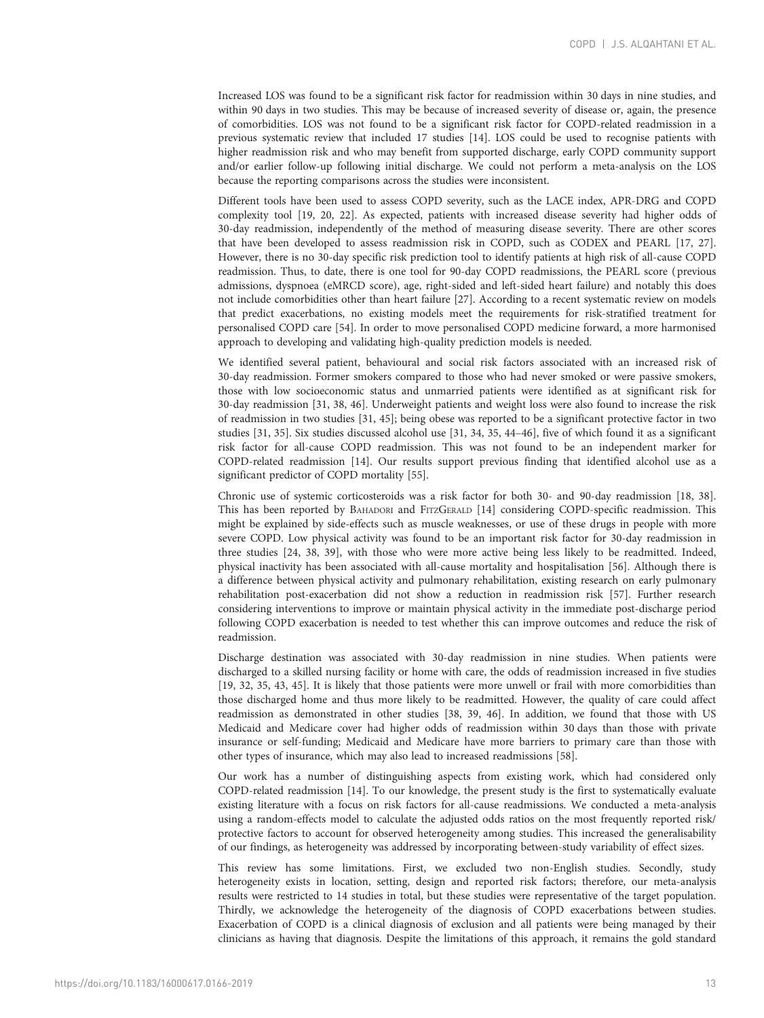Increased LOS was found to be a significant risk factor for readmission within 30 days in nine studies, and within 90 days in two studies. This may be because of increased severity of disease or, again, the presence of comorbidities. LOS was not found to be a significant risk factor for COPD-related readmission in a previous systematic review that included 17 studies [[14](#page-13-0)]. LOS could be used to recognise patients with higher readmission risk and who may benefit from supported discharge, early COPD community support and/or earlier follow-up following initial discharge. We could not perform a meta-analysis on the LOS because the reporting comparisons across the studies were inconsistent.

Different tools have been used to assess COPD severity, such as the LACE index, APR-DRG and COPD complexity tool [\[19, 20, 22](#page-14-0)]. As expected, patients with increased disease severity had higher odds of 30-day readmission, independently of the method of measuring disease severity. There are other scores that have been developed to assess readmission risk in COPD, such as CODEX and PEARL [\[17, 27](#page-14-0)]. However, there is no 30-day specific risk prediction tool to identify patients at high risk of all-cause COPD readmission. Thus, to date, there is one tool for 90-day COPD readmissions, the PEARL score ( previous admissions, dyspnoea (eMRCD score), age, right-sided and left-sided heart failure) and notably this does not include comorbidities other than heart failure [\[27\]](#page-14-0). According to a recent systematic review on models that predict exacerbations, no existing models meet the requirements for risk-stratified treatment for personalised COPD care [\[54\]](#page-15-0). In order to move personalised COPD medicine forward, a more harmonised approach to developing and validating high-quality prediction models is needed.

We identified several patient, behavioural and social risk factors associated with an increased risk of 30-day readmission. Former smokers compared to those who had never smoked or were passive smokers, those with low socioeconomic status and unmarried patients were identified as at significant risk for 30-day readmission [[31](#page-14-0), [38, 46\]](#page-14-0). Underweight patients and weight loss were also found to increase the risk of readmission in two studies [[31](#page-14-0), [45](#page-14-0)]; being obese was reported to be a significant protective factor in two studies [\[31](#page-14-0), [35](#page-14-0)]. Six studies discussed alcohol use [[31](#page-14-0), [34](#page-14-0), [35, 44](#page-14-0)–[46](#page-14-0)], five of which found it as a significant risk factor for all-cause COPD readmission. This was not found to be an independent marker for COPD-related readmission [[14](#page-13-0)]. Our results support previous finding that identified alcohol use as a significant predictor of COPD mortality [[55](#page-15-0)].

Chronic use of systemic corticosteroids was a risk factor for both 30- and 90-day readmission [\[18](#page-14-0), [38](#page-14-0)]. This has been reported by BAHADORI and FITZGERALD [[14\]](#page-13-0) considering COPD-specific readmission. This might be explained by side-effects such as muscle weaknesses, or use of these drugs in people with more severe COPD. Low physical activity was found to be an important risk factor for 30-day readmission in three studies [[24](#page-14-0), [38](#page-14-0), [39\]](#page-14-0), with those who were more active being less likely to be readmitted. Indeed, physical inactivity has been associated with all-cause mortality and hospitalisation [\[56](#page-15-0)]. Although there is a difference between physical activity and pulmonary rehabilitation, existing research on early pulmonary rehabilitation post-exacerbation did not show a reduction in readmission risk [\[57\]](#page-15-0). Further research considering interventions to improve or maintain physical activity in the immediate post-discharge period following COPD exacerbation is needed to test whether this can improve outcomes and reduce the risk of readmission.

Discharge destination was associated with 30-day readmission in nine studies. When patients were discharged to a skilled nursing facility or home with care, the odds of readmission increased in five studies [\[19, 32](#page-14-0), [35, 43, 45](#page-14-0)]. It is likely that those patients were more unwell or frail with more comorbidities than those discharged home and thus more likely to be readmitted. However, the quality of care could affect readmission as demonstrated in other studies [[38](#page-14-0), [39](#page-14-0), [46](#page-14-0)]. In addition, we found that those with US Medicaid and Medicare cover had higher odds of readmission within 30 days than those with private insurance or self-funding; Medicaid and Medicare have more barriers to primary care than those with other types of insurance, which may also lead to increased readmissions [[58](#page-15-0)].

Our work has a number of distinguishing aspects from existing work, which had considered only COPD-related readmission [[14](#page-13-0)]. To our knowledge, the present study is the first to systematically evaluate existing literature with a focus on risk factors for all-cause readmissions. We conducted a meta-analysis using a random-effects model to calculate the adjusted odds ratios on the most frequently reported risk/ protective factors to account for observed heterogeneity among studies. This increased the generalisability of our findings, as heterogeneity was addressed by incorporating between-study variability of effect sizes.

This review has some limitations. First, we excluded two non-English studies. Secondly, study heterogeneity exists in location, setting, design and reported risk factors; therefore, our meta-analysis results were restricted to 14 studies in total, but these studies were representative of the target population. Thirdly, we acknowledge the heterogeneity of the diagnosis of COPD exacerbations between studies. Exacerbation of COPD is a clinical diagnosis of exclusion and all patients were being managed by their clinicians as having that diagnosis. Despite the limitations of this approach, it remains the gold standard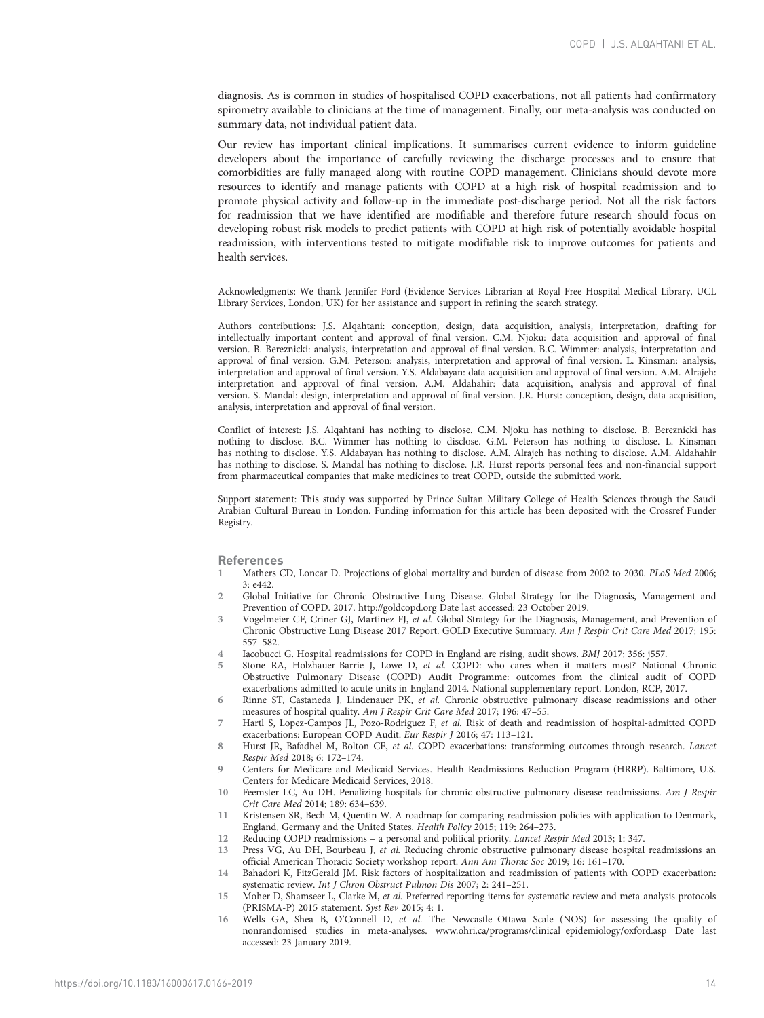<span id="page-13-0"></span>diagnosis. As is common in studies of hospitalised COPD exacerbations, not all patients had confirmatory spirometry available to clinicians at the time of management. Finally, our meta-analysis was conducted on summary data, not individual patient data.

Our review has important clinical implications. It summarises current evidence to inform guideline developers about the importance of carefully reviewing the discharge processes and to ensure that comorbidities are fully managed along with routine COPD management. Clinicians should devote more resources to identify and manage patients with COPD at a high risk of hospital readmission and to promote physical activity and follow-up in the immediate post-discharge period. Not all the risk factors for readmission that we have identified are modifiable and therefore future research should focus on developing robust risk models to predict patients with COPD at high risk of potentially avoidable hospital readmission, with interventions tested to mitigate modifiable risk to improve outcomes for patients and health services.

Acknowledgments: We thank Jennifer Ford (Evidence Services Librarian at Royal Free Hospital Medical Library, UCL Library Services, London, UK) for her assistance and support in refining the search strategy.

Authors contributions: J.S. Alqahtani: conception, design, data acquisition, analysis, interpretation, drafting for intellectually important content and approval of final version. C.M. Njoku: data acquisition and approval of final version. B. Bereznicki: analysis, interpretation and approval of final version. B.C. Wimmer: analysis, interpretation and approval of final version. G.M. Peterson: analysis, interpretation and approval of final version. L. Kinsman: analysis, interpretation and approval of final version. Y.S. Aldabayan: data acquisition and approval of final version. A.M. Alrajeh: interpretation and approval of final version. A.M. Aldahahir: data acquisition, analysis and approval of final version. S. Mandal: design, interpretation and approval of final version. J.R. Hurst: conception, design, data acquisition, analysis, interpretation and approval of final version.

Conflict of interest: J.S. Alqahtani has nothing to disclose. C.M. Njoku has nothing to disclose. B. Bereznicki has nothing to disclose. B.C. Wimmer has nothing to disclose. G.M. Peterson has nothing to disclose. L. Kinsman has nothing to disclose. Y.S. Aldabayan has nothing to disclose. A.M. Alrajeh has nothing to disclose. A.M. Aldahahir has nothing to disclose. S. Mandal has nothing to disclose. J.R. Hurst reports personal fees and non-financial support from pharmaceutical companies that make medicines to treat COPD, outside the submitted work.

Support statement: This study was supported by Prince Sultan Military College of Health Sciences through the Saudi Arabian Cultural Bureau in London. Funding information for this article has been deposited with the [Crossref Funder](https://www.crossref.org/services/funder-registry/) [Registry.](https://www.crossref.org/services/funder-registry/)

### References

- 1 Mathers CD, Loncar D. Projections of global mortality and burden of disease from 2002 to 2030. PLoS Med 2006;  $3: e442.$
- 2 Global Initiative for Chronic Obstructive Lung Disease. Global Strategy for the Diagnosis, Management and Prevention of COPD. 2017.<http://goldcopd.org> Date last accessed: 23 October 2019.
- 3 Vogelmeier CF, Criner GJ, Martinez FJ, et al. Global Strategy for the Diagnosis, Management, and Prevention of Chronic Obstructive Lung Disease 2017 Report. GOLD Executive Summary. Am J Respir Crit Care Med 2017; 195: 557–582.
- 4 Iacobucci G. Hospital readmissions for COPD in England are rising, audit shows. BMJ 2017; 356: j557.
- 5 Stone RA, Holzhauer-Barrie J, Lowe D, et al. COPD: who cares when it matters most? National Chronic Obstructive Pulmonary Disease (COPD) Audit Programme: outcomes from the clinical audit of COPD exacerbations admitted to acute units in England 2014. National supplementary report. London, RCP, 2017.
- 6 Rinne ST, Castaneda J, Lindenauer PK, et al. Chronic obstructive pulmonary disease readmissions and other measures of hospital quality. Am J Respir Crit Care Med 2017; 196: 47–55.
- 7 Hartl S, Lopez-Campos JL, Pozo-Rodriguez F, et al. Risk of death and readmission of hospital-admitted COPD exacerbations: European COPD Audit. Eur Respir J 2016; 47: 113–121.
- 8 Hurst JR, Bafadhel M, Bolton CE, et al. COPD exacerbations: transforming outcomes through research. Lancet Respir Med 2018; 6: 172–174.
- 9 Centers for Medicare and Medicaid Services. Health Readmissions Reduction Program (HRRP). Baltimore, U.S. Centers for Medicare Medicaid Services, 2018.
- 10 Feemster LC, Au DH. Penalizing hospitals for chronic obstructive pulmonary disease readmissions. Am J Respir Crit Care Med 2014; 189: 634–639.
- 11 Kristensen SR, Bech M, Quentin W. A roadmap for comparing readmission policies with application to Denmark, England, Germany and the United States. Health Policy 2015; 119: 264–273.
- 12 Reducing COPD readmissions a personal and political priority. Lancet Respir Med 2013; 1: 347.
- 13 Press VG, Au DH, Bourbeau J, et al. Reducing chronic obstructive pulmonary disease hospital readmissions an official American Thoracic Society workshop report. Ann Am Thorac Soc 2019; 16: 161–170.
- 14 Bahadori K, FitzGerald JM. Risk factors of hospitalization and readmission of patients with COPD exacerbation: systematic review. Int J Chron Obstruct Pulmon Dis 2007; 2: 241–251.
- 15 Moher D, Shamseer L, Clarke M, et al. Preferred reporting items for systematic review and meta-analysis protocols (PRISMA-P) 2015 statement. Syst Rev 2015; 4: 1.
- 16 Wells GA, Shea B, O'Connell D, et al. The Newcastle–Ottawa Scale (NOS) for assessing the quality of nonrandomised studies in meta-analyses. [www.ohri.ca/programs/clinical\\_epidemiology/oxford.asp](http://www.ohri.ca/programs/clinical_epidemiology/oxford.asp) Date last accessed: 23 January 2019.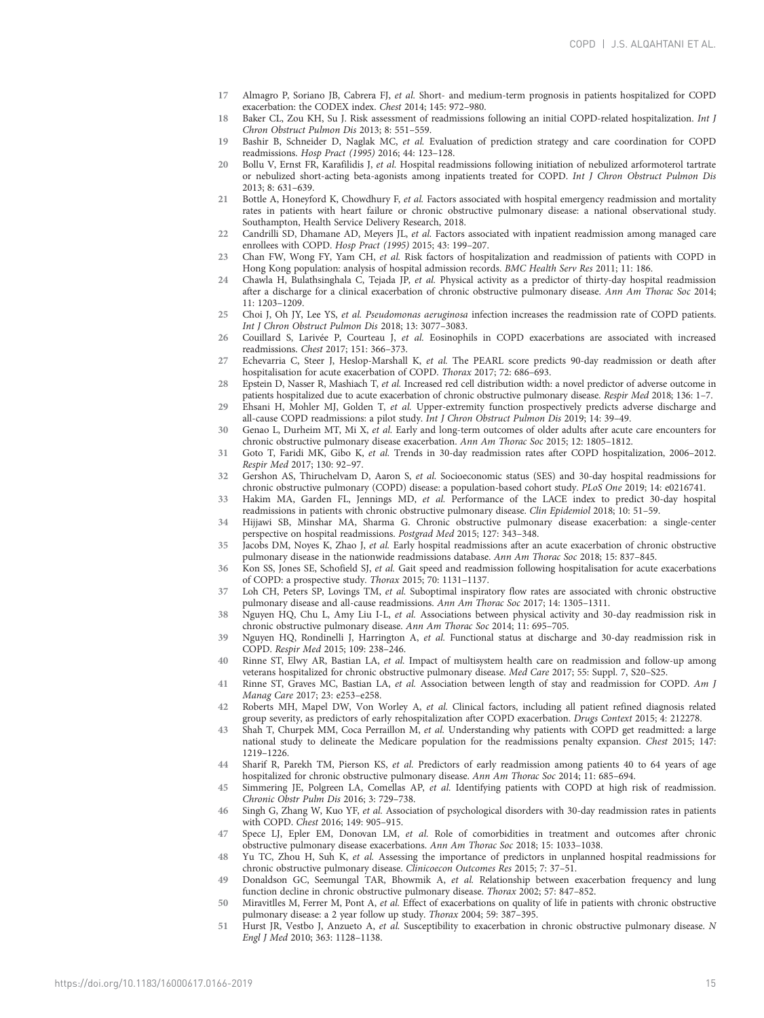- <span id="page-14-0"></span>17 Almagro P, Soriano JB, Cabrera FJ, et al. Short- and medium-term prognosis in patients hospitalized for COPD exacerbation: the CODEX index. Chest 2014; 145: 972–980.
- 18 Baker CL, Zou KH, Su J. Risk assessment of readmissions following an initial COPD-related hospitalization. Int J Chron Obstruct Pulmon Dis 2013; 8: 551–559.
- 19 Bashir B, Schneider D, Naglak MC, et al. Evaluation of prediction strategy and care coordination for COPD readmissions. Hosp Pract (1995) 2016; 44: 123–128.
- 20 Bollu V, Ernst FR, Karafilidis J, et al. Hospital readmissions following initiation of nebulized arformoterol tartrate or nebulized short-acting beta-agonists among inpatients treated for COPD. Int J Chron Obstruct Pulmon Dis 2013; 8: 631–639.
- 21 Bottle A, Honeyford K, Chowdhury F, et al. Factors associated with hospital emergency readmission and mortality rates in patients with heart failure or chronic obstructive pulmonary disease: a national observational study. Southampton, Health Service Delivery Research, 2018.
- Candrilli SD, Dhamane AD, Meyers JL, et al. Factors associated with inpatient readmission among managed care enrollees with COPD. Hosp Pract (1995) 2015; 43: 199–207.
- 23 Chan FW, Wong FY, Yam CH, et al. Risk factors of hospitalization and readmission of patients with COPD in Hong Kong population: analysis of hospital admission records. BMC Health Serv Res 2011; 11: 186.
- 24 Chawla H, Bulathsinghala C, Tejada JP, et al. Physical activity as a predictor of thirty-day hospital readmission after a discharge for a clinical exacerbation of chronic obstructive pulmonary disease. Ann Am Thorac Soc 2014; 11: 1203–1209.
- 25 Choi J, Oh JY, Lee YS, et al. Pseudomonas aeruginosa infection increases the readmission rate of COPD patients. Int J Chron Obstruct Pulmon Dis 2018; 13: 3077–3083.
- 26 Couillard S, Larivée P, Courteau J, et al. Eosinophils in COPD exacerbations are associated with increased readmissions. Chest 2017; 151: 366–373.
- 27 Echevarria C, Steer J, Heslop-Marshall K, et al. The PEARL score predicts 90-day readmission or death after hospitalisation for acute exacerbation of COPD. Thorax 2017; 72: 686–693.
- 28 Epstein D, Nasser R, Mashiach T, et al. Increased red cell distribution width: a novel predictor of adverse outcome in patients hospitalized due to acute exacerbation of chronic obstructive pulmonary disease. Respir Med 2018; 136: 1–7.
- 29 Ehsani H, Mohler MJ, Golden T, et al. Upper-extremity function prospectively predicts adverse discharge and all-cause COPD readmissions: a pilot study. Int J Chron Obstruct Pulmon Dis 2019; 14: 39–49.
- 30 Genao L, Durheim MT, Mi X, et al. Early and long-term outcomes of older adults after acute care encounters for chronic obstructive pulmonary disease exacerbation. Ann Am Thorac Soc 2015; 12: 1805–1812.
- 31 Goto T, Faridi MK, Gibo K, et al. Trends in 30-day readmission rates after COPD hospitalization, 2006–2012. Respir Med 2017; 130: 92–97.
- 32 Gershon AS, Thiruchelvam D, Aaron S, et al. Socioeconomic status (SES) and 30-day hospital readmissions for chronic obstructive pulmonary (COPD) disease: a population-based cohort study. PLoS One 2019; 14: e0216741.
- 33 Hakim MA, Garden FL, Jennings MD, et al. Performance of the LACE index to predict 30-day hospital readmissions in patients with chronic obstructive pulmonary disease. Clin Epidemiol 2018; 10: 51–59.
- 34 Hijjawi SB, Minshar MA, Sharma G. Chronic obstructive pulmonary disease exacerbation: a single-center perspective on hospital readmissions. Postgrad Med 2015; 127: 343–348.
- 35 Jacobs DM, Noyes K, Zhao J, et al. Early hospital readmissions after an acute exacerbation of chronic obstructive pulmonary disease in the nationwide readmissions database. Ann Am Thorac Soc 2018; 15: 837–845.
- 36 Kon SS, Jones SE, Schofield SJ, et al. Gait speed and readmission following hospitalisation for acute exacerbations of COPD: a prospective study. Thorax 2015; 70: 1131–1137.
- 37 Loh CH, Peters SP, Lovings TM, et al. Suboptimal inspiratory flow rates are associated with chronic obstructive pulmonary disease and all-cause readmissions. Ann Am Thorac Soc 2017; 14: 1305–1311.
- 38 Nguyen HQ, Chu L, Amy Liu I-L, et al. Associations between physical activity and 30-day readmission risk in chronic obstructive pulmonary disease. Ann Am Thorac Soc 2014; 11: 695–705.
- 39 Nguyen HQ, Rondinelli J, Harrington A, et al. Functional status at discharge and 30-day readmission risk in COPD. Respir Med 2015; 109: 238–246.
- 40 Rinne ST, Elwy AR, Bastian LA, et al. Impact of multisystem health care on readmission and follow-up among veterans hospitalized for chronic obstructive pulmonary disease. Med Care 2017; 55: Suppl. 7, S20–S25.
- 41 Rinne ST, Graves MC, Bastian LA, et al. Association between length of stay and readmission for COPD. Am J Manag Care 2017; 23: e253–e258.
- 42 Roberts MH, Mapel DW, Von Worley A, et al. Clinical factors, including all patient refined diagnosis related group severity, as predictors of early rehospitalization after COPD exacerbation. Drugs Context 2015; 4: 212278.
- 43 Shah T, Churpek MM, Coca Perraillon M, et al. Understanding why patients with COPD get readmitted: a large national study to delineate the Medicare population for the readmissions penalty expansion. Chest 2015; 147: 1219–1226.
- 44 Sharif R, Parekh TM, Pierson KS, et al. Predictors of early readmission among patients 40 to 64 years of age hospitalized for chronic obstructive pulmonary disease. Ann Am Thorac Soc 2014; 11: 685–694.
- 45 Simmering JE, Polgreen LA, Comellas AP, et al. Identifying patients with COPD at high risk of readmission. Chronic Obstr Pulm Dis 2016; 3: 729–738.
- 46 Singh G, Zhang W, Kuo YF, et al. Association of psychological disorders with 30-day readmission rates in patients with COPD. Chest 2016; 149: 905–915.
- 47 Spece LJ, Epler EM, Donovan LM, et al. Role of comorbidities in treatment and outcomes after chronic obstructive pulmonary disease exacerbations. Ann Am Thorac Soc 2018; 15: 1033–1038.
- 48 Yu TC, Zhou H, Suh K, et al. Assessing the importance of predictors in unplanned hospital readmissions for chronic obstructive pulmonary disease. Clinicoecon Outcomes Res 2015; 7: 37–51.
- 49 Donaldson GC, Seemungal TAR, Bhowmik A, et al. Relationship between exacerbation frequency and lung function decline in chronic obstructive pulmonary disease. Thorax 2002; 57: 847–852.
- 50 Miravitlles M, Ferrer M, Pont A, et al. Effect of exacerbations on quality of life in patients with chronic obstructive pulmonary disease: a 2 year follow up study. Thorax 2004; 59: 387–395.
- 51 Hurst JR, Vestbo J, Anzueto A, et al. Susceptibility to exacerbation in chronic obstructive pulmonary disease. N Engl J Med 2010; 363: 1128–1138.